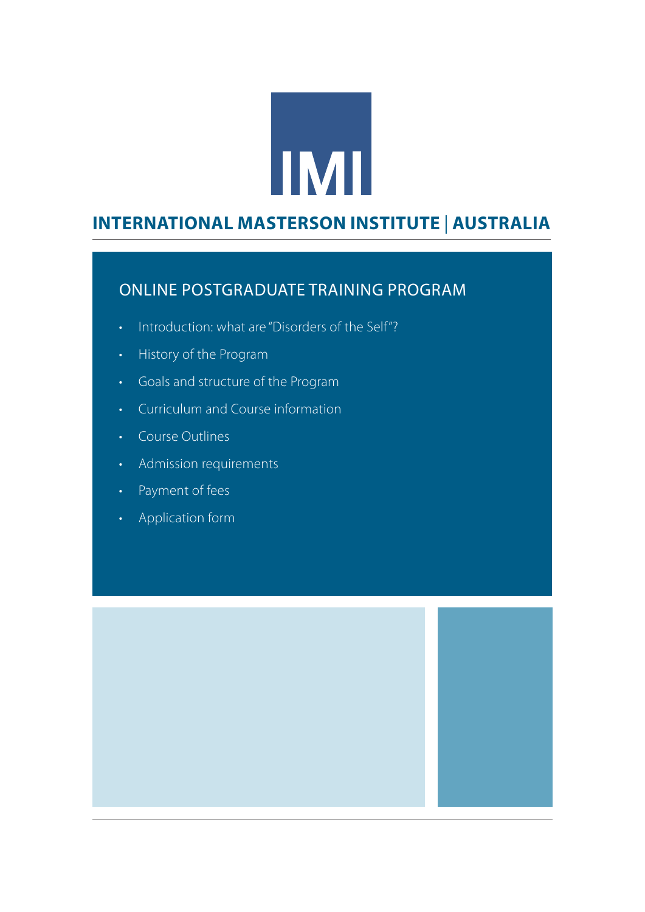# **IMI**

## WEST COAST **INTERNATIONAL MASTERSON INSTITUTE** | **AUSTRALIA**

#### ONLINE POSTGRADUATE TRAINING PROGRAM

- Introduction: what are "Disorders of the Self"?
- History of the Program
- Goals and structure of the Program
- Curriculum and Course information
- Course Outlines
- Admission requirements
- Payment of fees
- Application form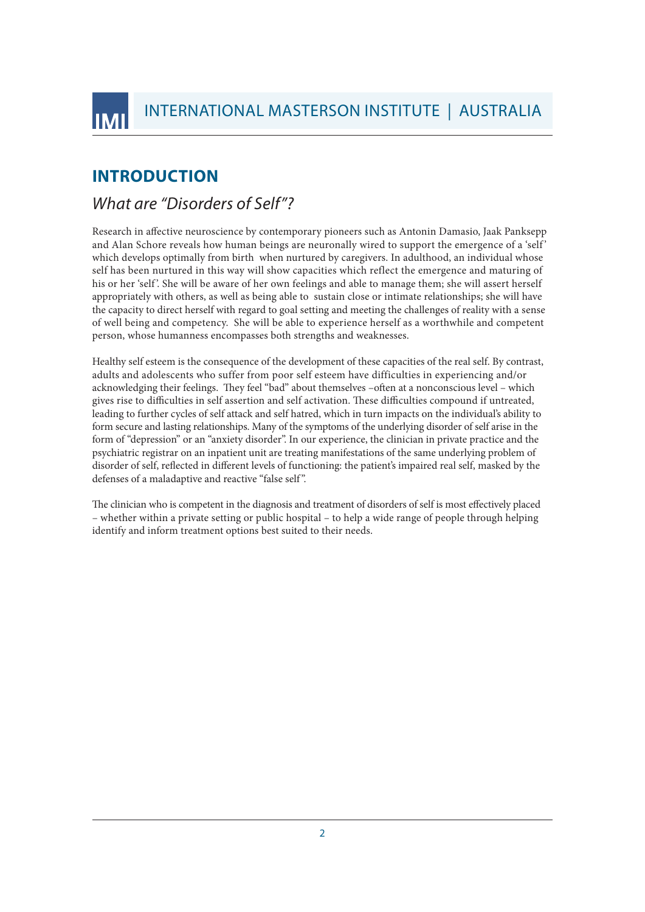# INTERNATIONAL MASTERSON INSTITUTE | AUSTRALIA

#### **INTRODUCTION**

INTERNATIONAL MASTERSON INSTITUTE

#### *What are "Disorders of Self"?*

Research in affective neuroscience by contemporary pioneers such as Antonin Damasio, Jaak Panksepp and Alan Schore reveals how human beings are neuronally wired to support the emergence of a 'self' which develops optimally from birth when nurtured by caregivers. In adulthood, an individual whose self has been nurtured in this way will show capacities which reflect the emergence and maturing of his or her 'self'. She will be aware of her own feelings and able to manage them; she will assert herself appropriately with others, as well as being able to sustain close or intimate relationships; she will have the capacity to direct herself with regard to goal setting and meeting the challenges of reality with a sense of well being and competency. She will be able to experience herself as a worthwhile and competent person, whose humanness encompasses both strengths and weaknesses.

Healthy self esteem is the consequence of the development of these capacities of the real self. By contrast, adults and adolescents who suffer from poor self esteem have difficulties in experiencing and/or acknowledging their feelings. They feel "bad" about themselves –often at a nonconscious level – which gives rise to difficulties in self assertion and self activation. These difficulties compound if untreated, leading to further cycles of self attack and self hatred, which in turn impacts on the individual's ability to form secure and lasting relationships. Many of the symptoms of the underlying disorder of self arise in the form of "depression" or an "anxiety disorder". In our experience, the clinician in private practice and the psychiatric registrar on an inpatient unit are treating manifestations of the same underlying problem of disorder of self, reflected in different levels of functioning: the patient's impaired real self, masked by the defenses of a maladaptive and reactive "false self ".

The clinician who is competent in the diagnosis and treatment of disorders of self is most effectively placed – whether within a private setting or public hospital – to help a wide range of people through helping identify and inform treatment options best suited to their needs.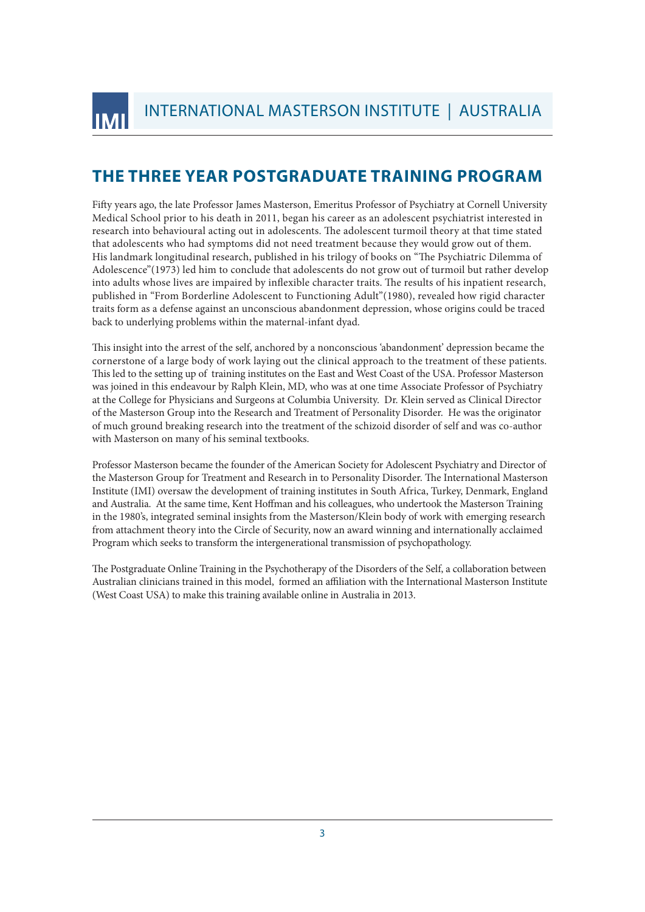## **THE THREE YEAR POSTGRADUATE TRAINING PROGRAM**

Fifty years ago, the late Professor James Masterson, Emeritus Professor of Psychiatry at Cornell University Medical School prior to his death in 2011, began his career as an adolescent psychiatrist interested in research into behavioural acting out in adolescents. The adolescent turmoil theory at that time stated that adolescents who had symptoms did not need treatment because they would grow out of them. His landmark longitudinal research, published in his trilogy of books on "The Psychiatric Dilemma of Adolescence"(1973) led him to conclude that adolescents do not grow out of turmoil but rather develop into adults whose lives are impaired by inflexible character traits. The results of his inpatient research, published in "From Borderline Adolescent to Functioning Adult"(1980), revealed how rigid character traits form as a defense against an unconscious abandonment depression, whose origins could be traced back to underlying problems within the maternal-infant dyad.

This insight into the arrest of the self, anchored by a nonconscious 'abandonment' depression became the cornerstone of a large body of work laying out the clinical approach to the treatment of these patients. This led to the setting up of training institutes on the East and West Coast of the USA. Professor Masterson was joined in this endeavour by Ralph Klein, MD, who was at one time Associate Professor of Psychiatry at the College for Physicians and Surgeons at Columbia University. Dr. Klein served as Clinical Director of the Masterson Group into the Research and Treatment of Personality Disorder. He was the originator of much ground breaking research into the treatment of the schizoid disorder of self and was co-author with Masterson on many of his seminal textbooks.

Professor Masterson became the founder of the American Society for Adolescent Psychiatry and Director of the Masterson Group for Treatment and Research in to Personality Disorder. The International Masterson Institute (IMI) oversaw the development of training institutes in South Africa, Turkey, Denmark, England and Australia. At the same time, Kent Hoffman and his colleagues, who undertook the Masterson Training in the 1980's, integrated seminal insights from the Masterson/Klein body of work with emerging research from attachment theory into the Circle of Security, now an award winning and internationally acclaimed Program which seeks to transform the intergenerational transmission of psychopathology.

The Postgraduate Online Training in the Psychotherapy of the Disorders of the Self, a collaboration between Australian clinicians trained in this model, formed an affiliation with the International Masterson Institute (West Coast USA) to make this training available online in Australia in 2013.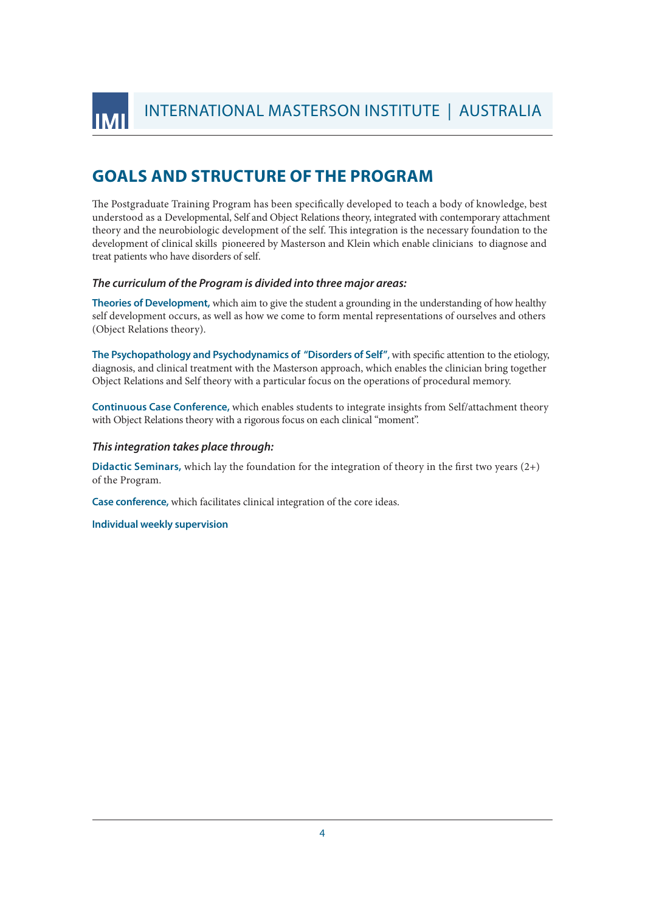INTERNATIONAL MASTERSON INSTITUTE

INTERNATIONAL MASTERSON INSTITUTE | AUSTRALIA

#### **GOALS AND STRUCTURE OF THE PROGRAM**

The Postgraduate Training Program has been specifically developed to teach a body of knowledge, best understood as a Developmental, Self and Object Relations theory, integrated with contemporary attachment theory and the neurobiologic development of the self. This integration is the necessary foundation to the development of clinical skills pioneered by Masterson and Klein which enable clinicians to diagnose and treat patients who have disorders of self.

#### *The curriculum of the Program is divided into three major areas:*

**Theories of Development,** which aim to give the student a grounding in the understanding of how healthy self development occurs, as well as how we come to form mental representations of ourselves and others (Object Relations theory).

**The Psychopathology and Psychodynamics of "Disorders of Self"**, with specific attention to the etiology, diagnosis, and clinical treatment with the Masterson approach, which enables the clinician bring together Object Relations and Self theory with a particular focus on the operations of procedural memory.

**Continuous Case Conference,** which enables students to integrate insights from Self/attachment theory with Object Relations theory with a rigorous focus on each clinical "moment".

#### *This integration takes place through:*

**Didactic Seminars,** which lay the foundation for the integration of theory in the first two years (2+) of the Program.

**Case conference,** which facilitates clinical integration of the core ideas.

**Individual weekly supervision**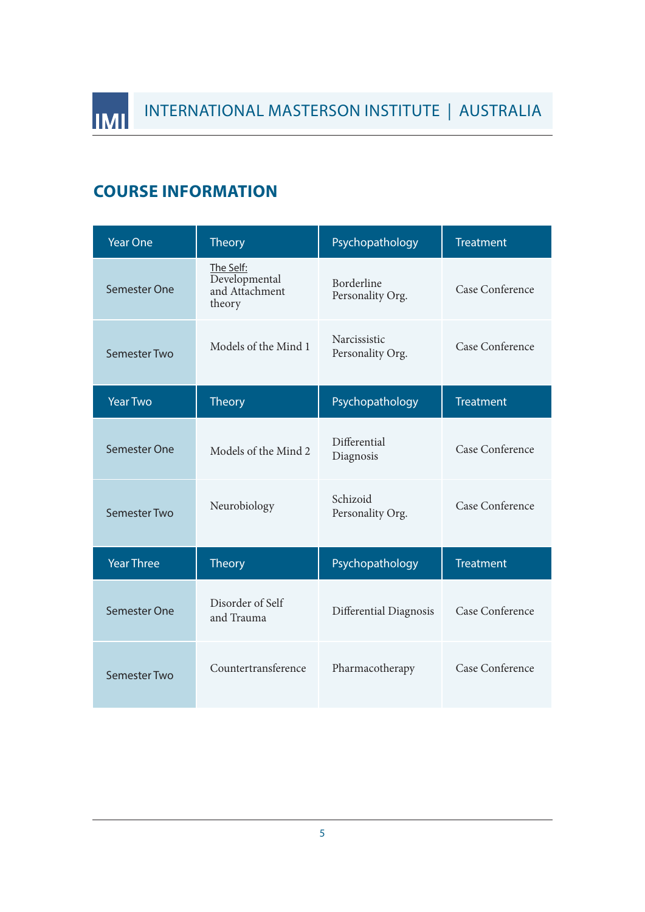## **COURSE INFORMATION**

INTERNATIONAL MASTERSON INSTITUTE

**IMI** 

| <b>Year One</b>     | <b>Theory</b>                                          | Psychopathology                  | <b>Treatment</b> |
|---------------------|--------------------------------------------------------|----------------------------------|------------------|
| Semester One        | The Self:<br>Developmental<br>and Attachment<br>theory | Borderline<br>Personality Org.   | Case Conference  |
| Semester Two        | Models of the Mind 1                                   | Narcissistic<br>Personality Org. | Case Conference  |
| <b>Year Two</b>     | <b>Theory</b>                                          | Psychopathology                  | <b>Treatment</b> |
| <b>Semester One</b> | Models of the Mind 2                                   | Differential<br>Diagnosis        | Case Conference  |
| <b>Semester Two</b> | Neurobiology                                           | Schizoid<br>Personality Org.     | Case Conference  |
| <b>Year Three</b>   | <b>Theory</b>                                          | Psychopathology                  | <b>Treatment</b> |
| Semester One        | Disorder of Self<br>and Trauma                         | Differential Diagnosis           | Case Conference  |
| Semester Two        | Countertransference                                    | Pharmacotherapy                  | Case Conference  |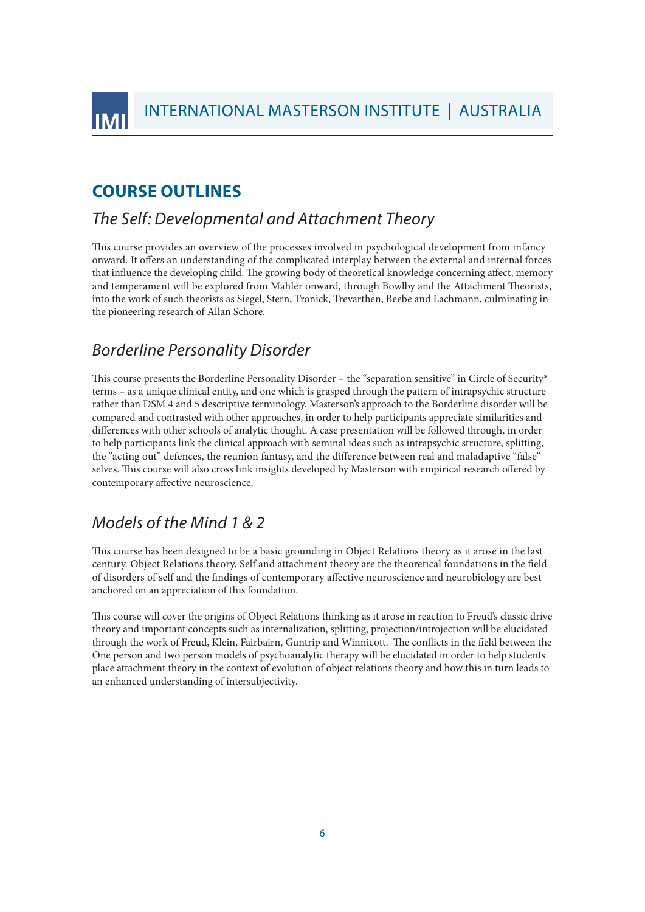INTERNATIONAL MASTERSON INSTITUTE | AUSTRALIA

#### **COURSE OUTLINES**

INTERNATIONAL MASTERSON INSTITUTE

#### *The Self: Developmental and Attachment Theory*

This course provides an overview of the processes involved in psychological development from infancy onward. It offers an understanding of the complicated interplay between the external and internal forces that influence the developing child. The growing body of theoretical knowledge concerning affect, memory and temperament will be explored from Mahler onward, through Bowlby and the Attachment Theorists, into the work of such theorists as Siegel, Stern, Tronick, Trevarthen, Beebe and Lachmann, culminating in the pioneering research of Allan Schore.

#### *Borderline Personality Disorder*

This course presents the Borderline Personality Disorder – the "separation sensitive" in Circle of Security\* terms – as a unique clinical entity, and one which is grasped through the pattern of intrapsychic structure rather than DSM 4 and 5 descriptive terminology. Masterson's approach to the Borderline disorder will be compared and contrasted with other approaches, in order to help participants appreciate similarities and differences with other schools of analytic thought. A case presentation will be followed through, in order to help participants link the clinical approach with seminal ideas such as intrapsychic structure, splitting, the "acting out" defences, the reunion fantasy, and the difference between real and maladaptive "false" selves. This course will also cross link insights developed by Masterson with empirical research offered by contemporary affective neuroscience.

#### *Models of the Mind 1 & 2*

This course has been designed to be a basic grounding in Object Relations theory as it arose in the last century. Object Relations theory, Self and attachment theory are the theoretical foundations in the field of disorders of self and the findings of contemporary affective neuroscience and neurobiology are best anchored on an appreciation of this foundation.

This course will cover the origins of Object Relations thinking as it arose in reaction to Freud's classic drive theory and important concepts such as internalization, splitting, projection/introjection will be elucidated through the work of Freud, Klein, Fairbairn, Guntrip and Winnicott. The conflicts in the field between the One person and two person models of psychoanalytic therapy will be elucidated in order to help students place attachment theory in the context of evolution of object relations theory and how this in turn leads to an enhanced understanding of intersubjectivity.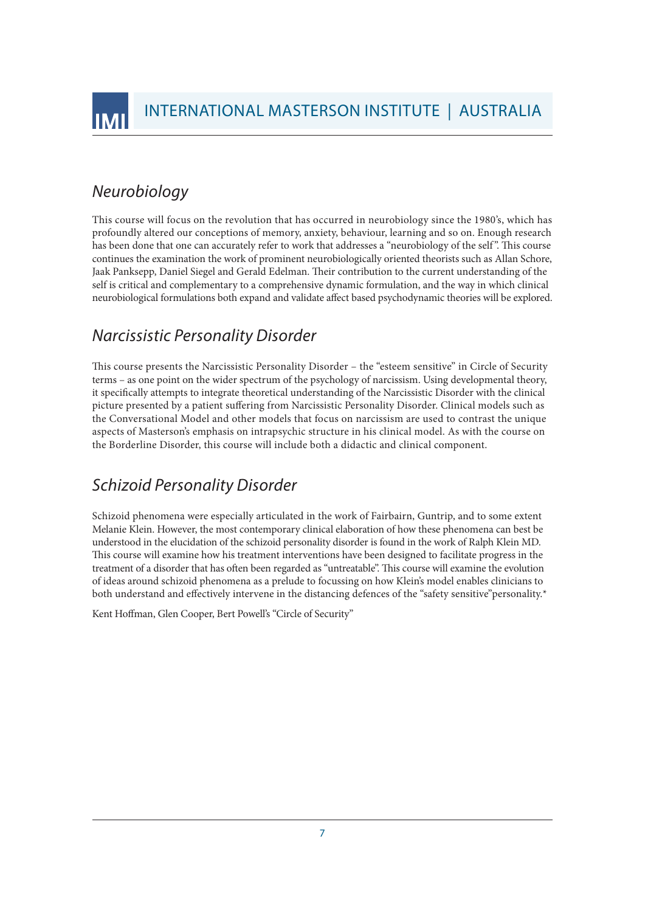

## *Neurobiology*

This course will focus on the revolution that has occurred in neurobiology since the 1980's, which has profoundly altered our conceptions of memory, anxiety, behaviour, learning and so on. Enough research has been done that one can accurately refer to work that addresses a "neurobiology of the self". This course continues the examination the work of prominent neurobiologically oriented theorists such as Allan Schore, Jaak Panksepp, Daniel Siegel and Gerald Edelman. Their contribution to the current understanding of the self is critical and complementary to a comprehensive dynamic formulation, and the way in which clinical neurobiological formulations both expand and validate affect based psychodynamic theories will be explored.

#### *Narcissistic Personality Disorder*

This course presents the Narcissistic Personality Disorder – the "esteem sensitive" in Circle of Security terms – as one point on the wider spectrum of the psychology of narcissism. Using developmental theory, it specifically attempts to integrate theoretical understanding of the Narcissistic Disorder with the clinical picture presented by a patient suffering from Narcissistic Personality Disorder. Clinical models such as the Conversational Model and other models that focus on narcissism are used to contrast the unique aspects of Masterson's emphasis on intrapsychic structure in his clinical model. As with the course on the Borderline Disorder, this course will include both a didactic and clinical component.

## *Schizoid Personality Disorder*

Schizoid phenomena were especially articulated in the work of Fairbairn, Guntrip, and to some extent Melanie Klein. However, the most contemporary clinical elaboration of how these phenomena can best be understood in the elucidation of the schizoid personality disorder is found in the work of Ralph Klein MD. This course will examine how his treatment interventions have been designed to facilitate progress in the treatment of a disorder that has often been regarded as "untreatable". This course will examine the evolution of ideas around schizoid phenomena as a prelude to focussing on how Klein's model enables clinicians to both understand and effectively intervene in the distancing defences of the "safety sensitive"personality.\*

Kent Hoffman, Glen Cooper, Bert Powell's "Circle of Security"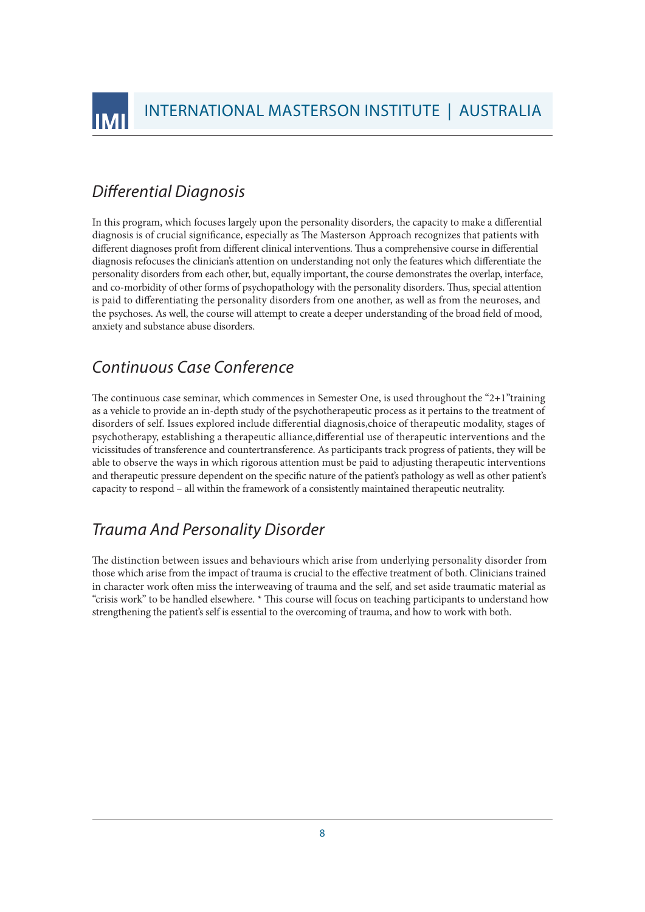INTERNATIONAL MASTERSON INSTITUTE | AUSTRALIA

## *Differential Diagnosis*

INTERNATIONAL MASTERSON INSTITUTE

In this program, which focuses largely upon the personality disorders, the capacity to make a differential diagnosis is of crucial significance, especially as The Masterson Approach recognizes that patients with different diagnoses profit from different clinical interventions. Thus a comprehensive course in differential diagnosis refocuses the clinician's attention on understanding not only the features which differentiate the personality disorders from each other, but, equally important, the course demonstrates the overlap, interface, and co-morbidity of other forms of psychopathology with the personality disorders. Thus, special attention is paid to differentiating the personality disorders from one another, as well as from the neuroses, and the psychoses. As well, the course will attempt to create a deeper understanding of the broad field of mood, anxiety and substance abuse disorders.

#### *Continuous Case Conference*

The continuous case seminar, which commences in Semester One, is used throughout the "2+1" training as a vehicle to provide an in‐depth study of the psychotherapeutic process as it pertains to the treatment of disorders of self. Issues explored include differential diagnosis,choice of therapeutic modality, stages of psychotherapy, establishing a therapeutic alliance,differential use of therapeutic interventions and the vicissitudes of transference and countertransference. As participants track progress of patients, they will be able to observe the ways in which rigorous attention must be paid to adjusting therapeutic interventions and therapeutic pressure dependent on the specific nature of the patient's pathology as well as other patient's capacity to respond – all within the framework of a consistently maintained therapeutic neutrality.

## *Trauma And Personality Disorder*

The distinction between issues and behaviours which arise from underlying personality disorder from those which arise from the impact of trauma is crucial to the effective treatment of both. Clinicians trained in character work often miss the interweaving of trauma and the self, and set aside traumatic material as "crisis work" to be handled elsewhere. \* This course will focus on teaching participants to understand how strengthening the patient's self is essential to the overcoming of trauma, and how to work with both.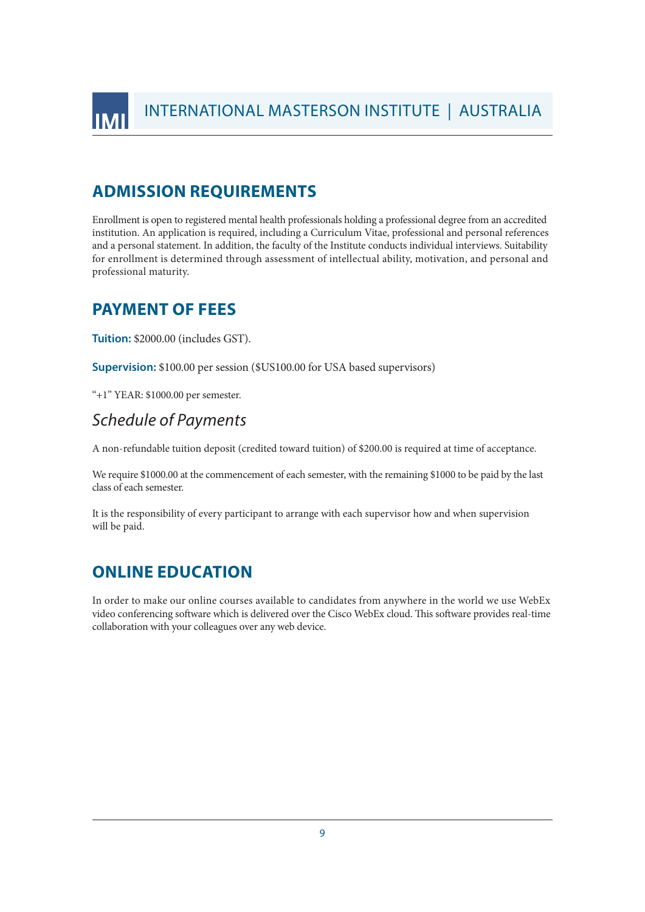INTERNATIONAL MASTERSON INSTITUTE

#### **ADMISSION REQUIREMENTS**

Enrollment is open to registered mental health professionals holding a professional degree from an accredited institution. An application is required, including a Curriculum Vitae, professional and personal references and a personal statement. In addition, the faculty of the Institute conducts individual interviews. Suitability for enrollment is determined through assessment of intellectual ability, motivation, and personal and professional maturity.

#### **PAYMENT OF FEES**

**Tuition:** \$2000.00 (includes GST).

**Supervision:** \$100.00 per session (\$US100.00 for USA based supervisors)

"+1" YEAR: \$1000.00 per semester.

#### *Schedule of Payments*

A non‐refundable tuition deposit (credited toward tuition) of \$200.00 is required at time of acceptance.

We require \$1000.00 at the commencement of each semester, with the remaining \$1000 to be paid by the last class of each semester.

It is the responsibility of every participant to arrange with each supervisor how and when supervision will be paid.

#### **ONLINE EDUCATION**

In order to make our online courses available to candidates from anywhere in the world we use WebEx video conferencing software which is delivered over the Cisco WebEx cloud. This software provides real-time collaboration with your colleagues over any web device.